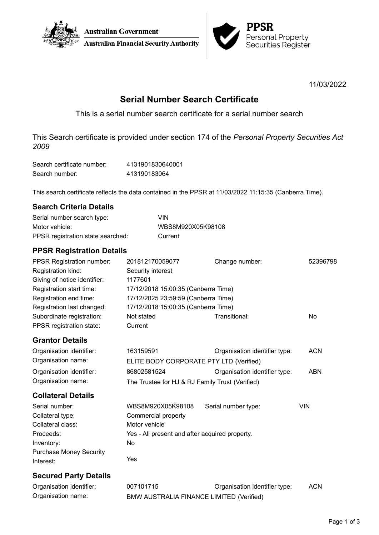



11/03/2022

# **Serial Number Search Certificate**

This is a serial number search certificate for a serial number search

This Search certificate is provided under section 174 of the *Personal Property Securities Act 2009*

| Search certificate number: | 4131901830640001 |
|----------------------------|------------------|
| Search number:             | 413190183064     |

This search certificate reflects the data contained in the PPSR at 11/03/2022 11:15:35 (Canberra Time).

### **Search Criteria Details**

| Serial number search type:        | VIN               |
|-----------------------------------|-------------------|
| Motor vehicle:                    | WBS8M920X05K98108 |
| PPSR registration state searched: | Current           |

## **PPSR Registration Details**

| PPSR Registration number:      | 201812170059077                                 | Change number:                | 52396798   |
|--------------------------------|-------------------------------------------------|-------------------------------|------------|
| Registration kind:             | Security interest                               |                               |            |
| Giving of notice identifier:   | 1177601                                         |                               |            |
| Registration start time:       | 17/12/2018 15:00:35 (Canberra Time)             |                               |            |
| Registration end time:         | 17/12/2025 23:59:59 (Canberra Time)             |                               |            |
| Registration last changed:     | 17/12/2018 15:00:35 (Canberra Time)             |                               |            |
| Subordinate registration:      | Not stated                                      | Transitional:                 | No         |
| PPSR registration state:       | Current                                         |                               |            |
| <b>Grantor Details</b>         |                                                 |                               |            |
| Organisation identifier:       | 163159591                                       | Organisation identifier type: | <b>ACN</b> |
| Organisation name:             | ELITE BODY CORPORATE PTY LTD (Verified)         |                               |            |
| Organisation identifier:       | 86802581524                                     | Organisation identifier type: | <b>ABN</b> |
| Organisation name:             | The Trustee for HJ & RJ Family Trust (Verified) |                               |            |
| <b>Collateral Details</b>      |                                                 |                               |            |
| Serial number:                 | WBS8M920X05K98108                               | Serial number type:           | <b>VIN</b> |
| Collateral type:               | Commercial property                             |                               |            |
| Collateral class:              | Motor vehicle                                   |                               |            |
| Proceeds:                      | Yes - All present and after acquired property.  |                               |            |
| Inventory:                     | No                                              |                               |            |
| <b>Purchase Money Security</b> |                                                 |                               |            |
| Interest:                      | Yes                                             |                               |            |
| <b>Secured Party Details</b>   |                                                 |                               |            |
| Organisation identifier:       | 007101715                                       | Organisation identifier type: | <b>ACN</b> |

Organisation name: BMW AUSTRALIA FINANCE LIMITED (Verified)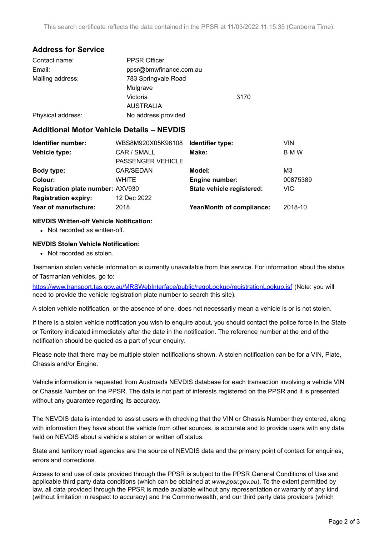### **Address for Service**

| Contact name:     | <b>PPSR Officer</b>    |      |
|-------------------|------------------------|------|
| Email:            | ppsr@bmwfinance.com.au |      |
| Mailing address:  | 783 Springvale Road    |      |
|                   | Mulgrave               |      |
|                   | Victoria               | 3170 |
|                   | <b>AUSTRALIA</b>       |      |
| Physical address: | No address provided    |      |

#### **Additional Motor Vehicle Details – NEVDIS**

| Identifier number:                | WBS8M920X05K98108        | Identifier type:          | VIN        |
|-----------------------------------|--------------------------|---------------------------|------------|
| Vehicle type:                     | CAR / SMALL              | Make:                     | <b>BMW</b> |
|                                   | <b>PASSENGER VEHICLE</b> |                           |            |
| Body type:                        | CAR/SEDAN                | Model:                    | M3         |
| Colour:                           | WHITE                    | Engine number:            | 00875389   |
| Registration plate number: AXV930 |                          | State vehicle registered: | <b>VIC</b> |
| <b>Registration expiry:</b>       | 12 Dec 2022              |                           |            |
| Year of manufacture:              | 2018                     | Year/Month of compliance: | 2018-10    |
|                                   |                          |                           |            |

#### **NEVDIS Written-off Vehicle Notification:**

• Not recorded as written-off.

#### **NEVDIS Stolen Vehicle Notification:**

• Not recorded as stolen.

Tasmanian stolen vehicle information is currently unavailable from this service. For information about the status of Tasmanian vehicles, go to:

<https://www.transport.tas.gov.au/MRSWebInterface/public/regoLookup/registrationLookup.jsf> (Note: you will need to provide the vehicle registration plate number to search this site).

A stolen vehicle notification, or the absence of one, does not necessarily mean a vehicle is or is not stolen.

If there is a stolen vehicle notification you wish to enquire about, you should contact the police force in the State or Territory indicated immediately after the date in the notification. The reference number at the end of the notification should be quoted as a part of your enquiry.

Please note that there may be multiple stolen notifications shown. A stolen notification can be for a VIN, Plate, Chassis and/or Engine.

Vehicle information is requested from Austroads NEVDIS database for each transaction involving a vehicle VIN or Chassis Number on the PPSR. The data is not part of interests registered on the PPSR and it is presented without any quarantee regarding its accuracy.

The NEVDIS data is intended to assist users with checking that the VIN or Chassis Number they entered, along with information they have about the vehicle from other sources, is accurate and to provide users with any data held on NEVDIS about a vehicle's stolen or written off status.

State and territory road agencies are the source of NEVDIS data and the primary point of contact for enquiries, errors and corrections.

Access to and use of data provided through the PPSR is subject to the PPSR General Conditions of Use and applicable third party data conditions (which can be obtained at *[www.ppsr.gov.au](http://www.ppsr.gov.au)*). To the extent permitted by law, all data provided through the PPSR is made available without any representation or warranty of any kind (without limitation in respect to accuracy) and the Commonwealth, and our third party data providers (which